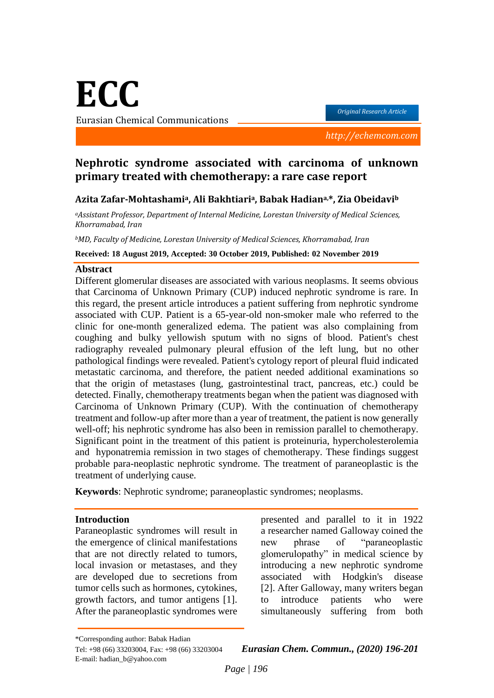**ECC**

Eurasian Chemical Communications

*Original Research Article*

 *http://echemcom.com*

# **Nephrotic syndrome associated with carcinoma of unknown primary treated with chemotherapy: a rare case report**

## **Azita Zafar-Mohtashamia, Ali Bakhtiaria, Babak Hadiana,\*, Zia Obeidavi<sup>b</sup>**

*<sup>a</sup>Assistant Professor, Department of Internal Medicine, Lorestan University of Medical Sciences, Khorramabad, Iran*

*<sup>b</sup>MD, Faculty of Medicine, Lorestan University of Medical Sciences, Khorramabad, Iran*

**Received: 18 August 2019, Accepted: 30 October 2019, Published: 02 November 2019**

#### **Abstract**

Different glomerular diseases are associated with various neoplasms. It seems obvious that Carcinoma of Unknown Primary (CUP) induced nephrotic syndrome is rare. In this regard, the present article introduces a patient suffering from nephrotic syndrome associated with CUP. Patient is a 65-year-old non-smoker male who referred to the clinic for one-month generalized edema. The patient was also complaining from coughing and bulky yellowish sputum with no signs of blood. Patient's chest radiography revealed pulmonary pleural effusion of the left lung, but no other pathological findings were revealed. Patient's cytology report of pleural fluid indicated metastatic carcinoma, and therefore, the patient needed additional examinations so that the origin of metastases (lung, gastrointestinal tract, pancreas, etc.) could be detected. Finally, chemotherapy treatments began when the patient was diagnosed with Carcinoma of Unknown Primary (CUP). With the continuation of chemotherapy treatment and follow-up after more than a year of treatment, the patient is now generally well-off; his nephrotic syndrome has also been in remission parallel to chemotherapy. Significant point in the treatment of this patient is proteinuria, hypercholesterolemia and hyponatremia remission in two stages of chemotherapy. These findings suggest probable para-neoplastic nephrotic syndrome. The treatment of paraneoplastic is the treatment of underlying cause.

**Keywords**: Nephrotic syndrome; paraneoplastic syndromes; neoplasms.

### **Introduction**

Paraneoplastic syndromes will result in the emergence of clinical manifestations that are not directly related to tumors, local invasion or metastases, and they are developed due to secretions from tumor cells such as hormones, cytokines, growth factors, and tumor antigens [1]. After the paraneoplastic syndromes were presented and parallel to it in 1922 a researcher named Galloway coined the new phrase of "paraneoplastic glomerulopathy" in medical science by introducing a new nephrotic syndrome associated with Hodgkin's disease [2]. After Galloway, many writers began to introduce patients who were simultaneously suffering from both

\*Corresponding author: Babak Hadian E-mail: hadian\_b@yahoo.com

Tel: +98 (66) 33203004, Fax: +98 (66) 33203004 *Eurasian Chem. Commun., (2020) 196-201*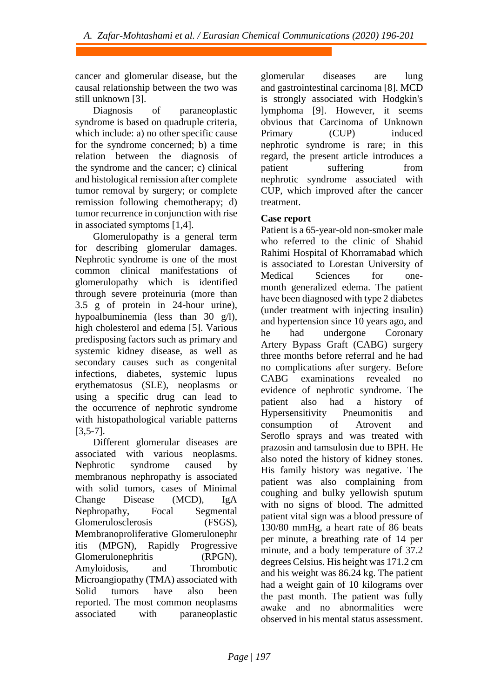cancer and glomerular disease, but the causal relationship between the two was still unknown [3].

Diagnosis of paraneoplastic syndrome is based on quadruple criteria, which include: a) no other specific cause for the syndrome concerned; b) a time relation between the diagnosis of the syndrome and the cancer; c) clinical and histological remission after complete tumor removal by surgery; or complete remission following chemotherapy; d) tumor recurrence in conjunction with rise in associated symptoms [1,4].

Glomerulopathy is a general term for describing glomerular damages. Nephrotic syndrome is one of the most common clinical manifestations of glomerulopathy which is identified through severe proteinuria (more than 3.5 g of protein in 24-hour urine), hypoalbuminemia (less than 30 g/l), high cholesterol and edema [5]. Various predisposing factors such as primary and systemic kidney disease, as well as secondary causes such as congenital infections, diabetes, systemic lupus erythematosus (SLE), neoplasms or using a specific drug can lead to the occurrence of nephrotic syndrome with histopathological variable patterns [3,5-7].

Different glomerular diseases are associated with various neoplasms. Nephrotic syndrome caused by membranous nephropathy is associated with solid tumors, cases of Minimal Change Disease (MCD), IgA Nephropathy, Focal Segmental Glomerulosclerosis (FSGS), Membranoproliferative Glomerulonephr itis (MPGN), Rapidly Progressive Glomerulonephritis (RPGN), Amyloidosis, and Thrombotic Microangiopathy (TMA) associated with Solid tumors have also been reported. The most common neoplasms associated with paraneoplastic glomerular diseases are lung and gastrointestinal carcinoma [8]. MCD is strongly associated with Hodgkin's lymphoma [9]. However, it seems obvious that Carcinoma of Unknown Primary (CUP) induced nephrotic syndrome is rare; in this regard, the present article introduces a patient suffering from nephrotic syndrome associated with CUP, which improved after the cancer treatment.

# **Case report**

Patient is a 65-year-old non-smoker male who referred to the clinic of Shahid Rahimi Hospital of Khorramabad which is associated to Lorestan University of Medical Sciences for onemonth generalized edema. The patient have been diagnosed with type 2 diabetes (under treatment with injecting insulin) and hypertension since 10 years ago, and he had undergone Coronary Artery Bypass Graft (CABG) surgery three months before referral and he had no complications after surgery. Before CABG examinations revealed no evidence of nephrotic syndrome. The patient also had a history of Hypersensitivity Pneumonitis and consumption of Atrovent and Seroflo sprays and was treated with prazosin and tamsulosin due to BPH. He also noted the history of kidney stones. His family history was negative. The patient was also complaining from coughing and bulky yellowish sputum with no signs of blood. The admitted patient vital sign was a blood pressure of 130/80 mmHg, a heart rate of 86 beats per minute, a breathing rate of 14 per minute, and a body temperature of 37.2 degrees Celsius. His height was 171.2 cm and his weight was 86.24 kg. The patient had a weight gain of 10 kilograms over the past month. The patient was fully awake and no abnormalities were observed in his mental status assessment.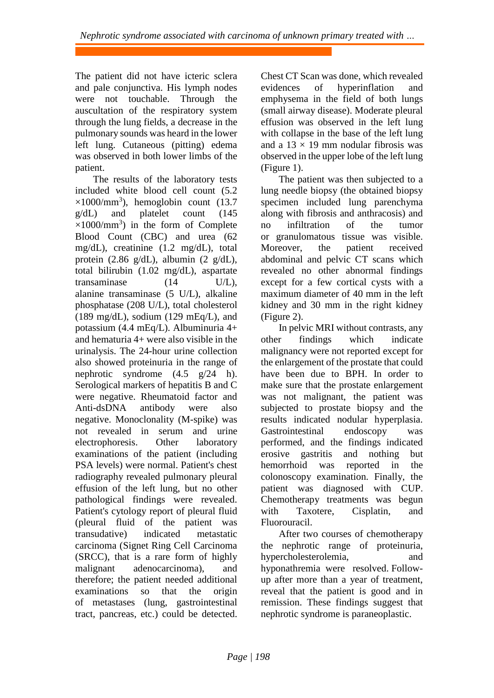The patient did not have icteric sclera and pale conjunctiva. His lymph nodes were not touchable. Through the auscultation of the respiratory system through the lung fields, a decrease in the pulmonary sounds was heard in the lower left lung. Cutaneous (pitting) edema was observed in both lower limbs of the patient.

The results of the laboratory tests included white blood cell count (5.2  $\times$ 1000/mm<sup>3</sup>), hemoglobin count (13.7 g/dL) and platelet count (145  $\times$ 1000/mm<sup>3</sup>) in the form of Complete Blood Count (CBC) and urea (62 mg/dL), creatinine (1.2 mg/dL), total protein (2.86 g/dL), albumin (2 g/dL), total bilirubin (1.02 mg/dL), aspartate transaminase (14 U/L), alanine transaminase (5 U/L), alkaline phosphatase (208 U/L), total cholesterol  $(189 \text{ mg/dL})$ , sodium (129 mEq/L), and potassium (4.4 mEq/L). Albuminuria 4+ and hematuria 4+ were also visible in the urinalysis. The 24-hour urine collection also showed proteinuria in the range of nephrotic syndrome (4.5 g/24 h). Serological markers of hepatitis B and C were negative. Rheumatoid factor and Anti-dsDNA antibody were also negative. Monoclonality (M-spike) was not revealed in serum and urine electrophoresis. Other laboratory examinations of the patient (including PSA levels) were normal. Patient's chest radiography revealed pulmonary pleural effusion of the left lung, but no other pathological findings were revealed. Patient's cytology report of pleural fluid (pleural fluid of the patient was transudative) indicated metastatic carcinoma (Signet Ring Cell Carcinoma (SRCC), that is a rare form of highly malignant adenocarcinoma), and therefore; the patient needed additional examinations so that the origin of metastases (lung, gastrointestinal tract, pancreas, etc.) could be detected.

Chest CT Scan was done, which revealed evidences of hyperinflation and emphysema in the field of both lungs (small airway disease). Moderate pleural effusion was observed in the left lung with collapse in the base of the left lung and a  $13 \times 19$  mm nodular fibrosis was observed in the upper lobe of the left lung (Figure 1).

The patient was then subjected to a lung needle biopsy (the obtained biopsy specimen included lung parenchyma along with fibrosis and anthracosis) and no infiltration of the tumor or granulomatous tissue was visible. Moreover, the patient received abdominal and pelvic CT scans which revealed no other abnormal findings except for a few cortical cysts with a maximum diameter of 40 mm in the left kidney and 30 mm in the right kidney (Figure 2).

In pelvic MRI without contrasts, any other findings which indicate malignancy were not reported except for the enlargement of the prostate that could have been due to BPH. In order to make sure that the prostate enlargement was not malignant, the patient was subjected to prostate biopsy and the results indicated nodular hyperplasia. Gastrointestinal endoscopy was performed, and the findings indicated erosive gastritis and nothing but hemorrhoid was reported in the colonoscopy examination. Finally, the patient was diagnosed with CUP. Chemotherapy treatments was begun with Taxotere, Cisplatin, and Fluorouracil.

After two courses of chemotherapy the nephrotic range of proteinuria, hypercholesterolemia, and hyponathremia were resolved. Followup after more than a year of treatment, reveal that the patient is good and in remission. These findings suggest that nephrotic syndrome is paraneoplastic.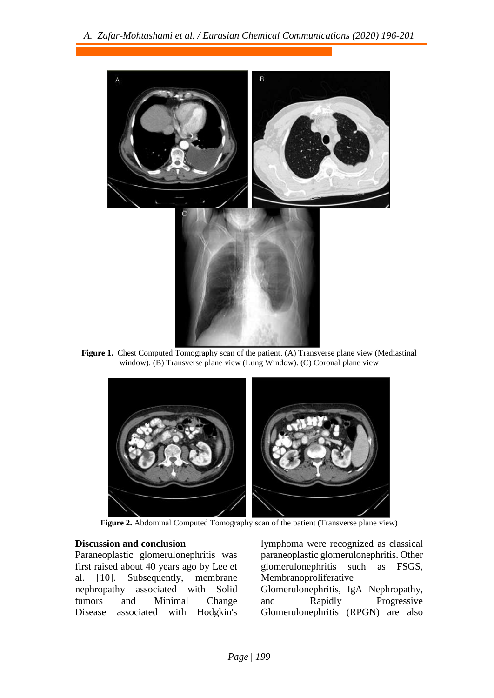

**Figure 1.** Chest Computed Tomography scan of the patient. (A) Transverse plane view (Mediastinal window). (B) Transverse plane view (Lung Window). (C) Coronal plane view



Figure 2. Abdominal Computed Tomography scan of the patient (Transverse plane view)

### **Discussion and conclusion**

Paraneoplastic glomerulonephritis was first raised about 40 years ago by Lee et al. [10]. Subsequently, membrane nephropathy associated with Solid tumors and Minimal Change Disease associated with Hodgkin's lymphoma were recognized as classical paraneoplastic glomerulonephritis. Other glomerulonephritis such as FSGS, Membranoproliferative Glomerulonephritis, IgA Nephropathy, and Rapidly Progressive Glomerulonephritis (RPGN) are also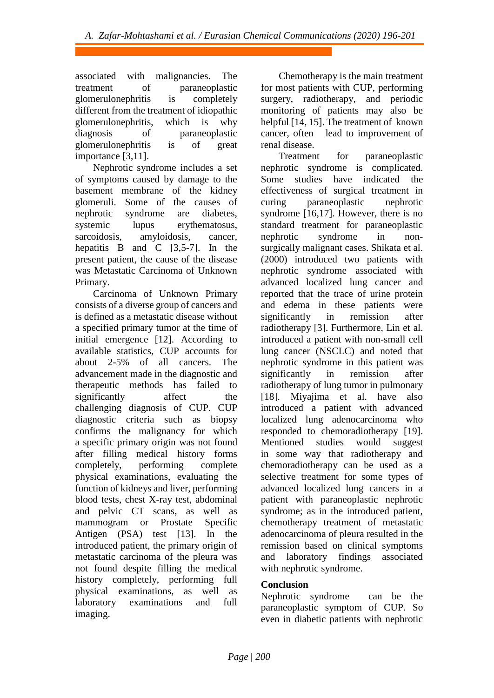associated with malignancies. The treatment of paraneoplastic glomerulonephritis is completely different from the treatment of idiopathic glomerulonephritis, which is why diagnosis of paraneoplastic glomerulonephritis is of great importance [3,11].

Nephrotic syndrome includes a set of symptoms caused by damage to the basement membrane of the kidney glomeruli. Some of the causes of nephrotic syndrome are diabetes, systemic lupus erythematosus, sarcoidosis, amyloidosis, cancer, hepatitis B and C  $[3,5-7]$ . In the present patient, the cause of the disease was Metastatic Carcinoma of Unknown Primary.

Carcinoma of Unknown Primary consists of a diverse group of cancers and is defined as a metastatic disease without a specified primary tumor at the time of initial emergence [12]. According to available statistics, CUP accounts for about 2-5% of all cancers. The advancement made in the diagnostic and therapeutic methods has failed to significantly affect the challenging diagnosis of CUP. CUP diagnostic criteria such as biopsy confirms the malignancy for which a specific primary origin was not found after filling medical history forms completely, performing complete physical examinations, evaluating the function of kidneys and liver, performing blood tests, chest X-ray test, abdominal and pelvic CT scans, as well as mammogram or Prostate Specific Antigen (PSA) test [13]. In the introduced patient, the primary origin of metastatic carcinoma of the pleura was not found despite filling the medical history completely, performing full physical examinations, as well as laboratory examinations and full imaging.

Chemotherapy is the main treatment for most patients with CUP, performing surgery, radiotherapy, and periodic monitoring of patients may also be helpful [14, 15]. The treatment of known cancer, often lead to improvement of renal disease.

Treatment for paraneoplastic nephrotic syndrome is complicated. Some studies have indicated the effectiveness of surgical treatment in curing paraneoplastic nephrotic syndrome [16,17]. However, there is no standard treatment for paraneoplastic nephrotic syndrome in nonsurgically malignant cases. Shikata et al. (2000) introduced two patients with nephrotic syndrome associated with advanced localized lung cancer and reported that the trace of urine protein and edema in these patients were significantly in remission after radiotherapy [3]. Furthermore, Lin et al. introduced a patient with non-small cell lung cancer (NSCLC) and noted that nephrotic syndrome in this patient was significantly in remission after radiotherapy of lung tumor in pulmonary [18]. Miyajima et al. have also introduced a patient with advanced localized lung adenocarcinoma who responded to chemoradiotherapy [19]. Mentioned studies would suggest in some way that radiotherapy and chemoradiotherapy can be used as a selective treatment for some types of advanced localized lung cancers in a patient with paraneoplastic nephrotic syndrome; as in the introduced patient, chemotherapy treatment of metastatic adenocarcinoma of pleura resulted in the remission based on clinical symptoms and laboratory findings associated with nephrotic syndrome.

## **Conclusion**

Nephrotic syndrome can be the paraneoplastic symptom of CUP. So even in diabetic patients with nephrotic